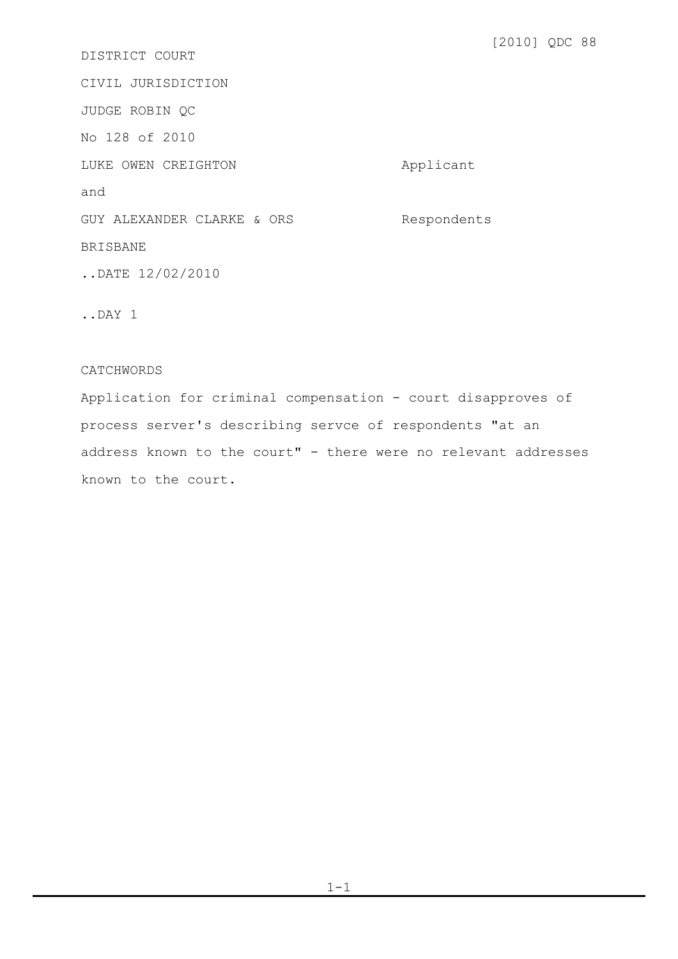[2010] QDC 88 DISTRICT COURT CIVIL JURISDICTION JUDGE ROBIN QC No 128 of 2010 LUKE OWEN CREIGHTON **Applicant** 

GUY ALEXANDER CLARKE & ORS Respondents

BRISBANE

and

..DATE 12/02/2010

..DAY 1

## CATCHWORDS

Application for criminal compensation - court disapproves of process server's describing servce of respondents "at an address known to the court" - there were no relevant addresses known to the court.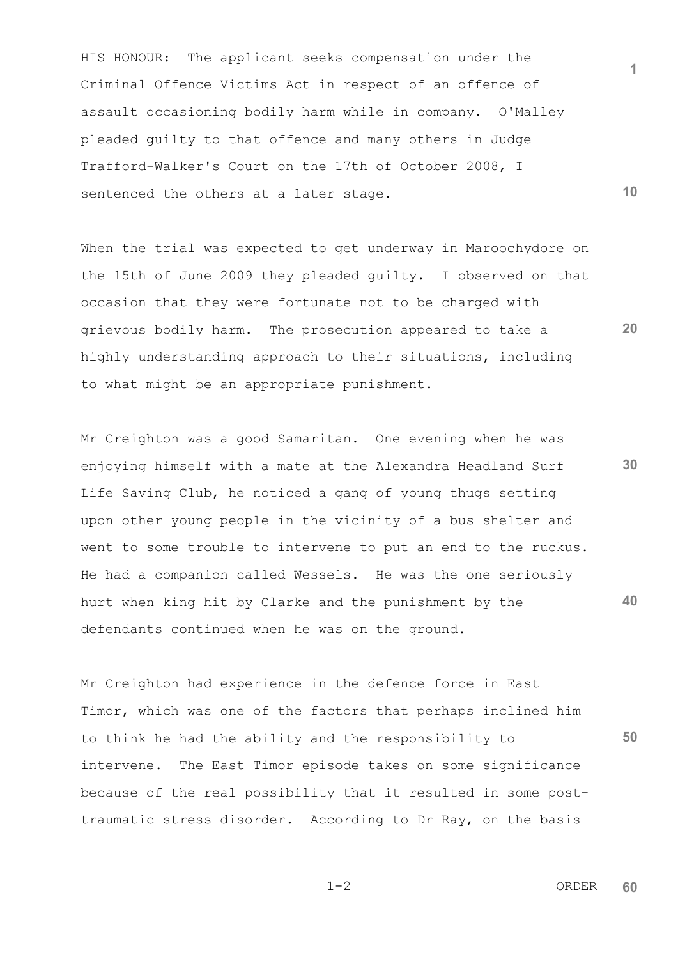HIS HONOUR: The applicant seeks compensation under the Criminal Offence Victims Act in respect of an offence of assault occasioning bodily harm while in company. O'Malley pleaded guilty to that offence and many others in Judge Trafford-Walker's Court on the 17th of October 2008, I sentenced the others at a later stage.

When the trial was expected to get underway in Maroochydore on the 15th of June 2009 they pleaded guilty. I observed on that occasion that they were fortunate not to be charged with grievous bodily harm. The prosecution appeared to take a highly understanding approach to their situations, including to what might be an appropriate punishment.

**30 40** Mr Creighton was a good Samaritan. One evening when he was enjoying himself with a mate at the Alexandra Headland Surf Life Saving Club, he noticed a gang of young thugs setting upon other young people in the vicinity of a bus shelter and went to some trouble to intervene to put an end to the ruckus. He had a companion called Wessels. He was the one seriously hurt when king hit by Clarke and the punishment by the defendants continued when he was on the ground.

**50** Mr Creighton had experience in the defence force in East Timor, which was one of the factors that perhaps inclined him to think he had the ability and the responsibility to intervene. The East Timor episode takes on some significance because of the real possibility that it resulted in some posttraumatic stress disorder. According to Dr Ray, on the basis

 1-2 ORDER **60**

**10**

**20**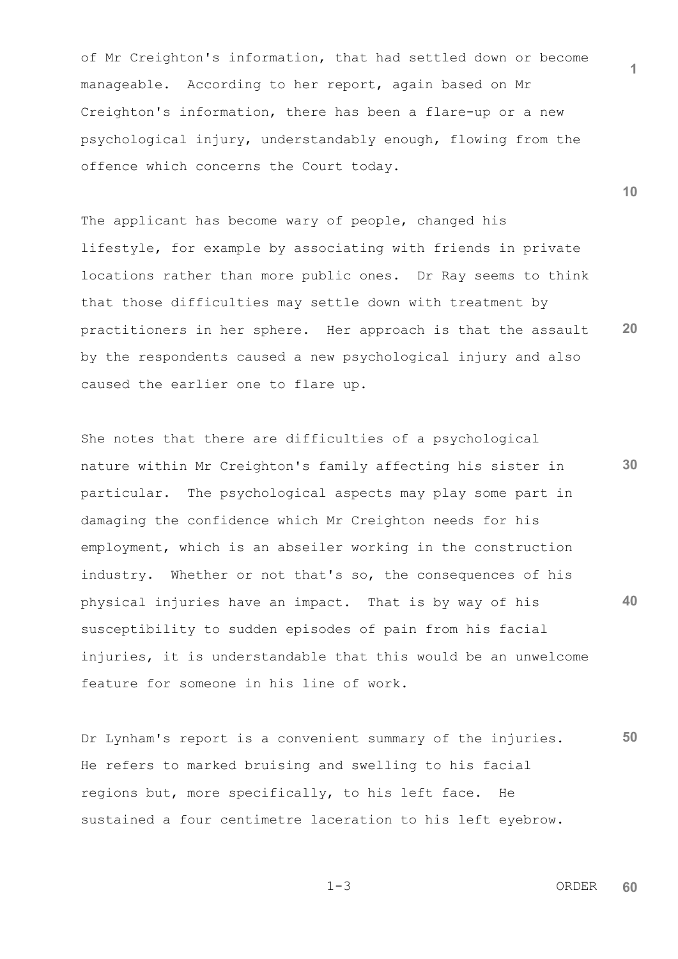of Mr Creighton's information, that had settled down or become manageable. According to her report, again based on Mr Creighton's information, there has been a flare-up or a new psychological injury, understandably enough, flowing from the offence which concerns the Court today.

**20** The applicant has become wary of people, changed his lifestyle, for example by associating with friends in private locations rather than more public ones. Dr Ray seems to think that those difficulties may settle down with treatment by practitioners in her sphere. Her approach is that the assault by the respondents caused a new psychological injury and also caused the earlier one to flare up.

**30 40** She notes that there are difficulties of a psychological nature within Mr Creighton's family affecting his sister in particular. The psychological aspects may play some part in damaging the confidence which Mr Creighton needs for his employment, which is an abseiler working in the construction industry. Whether or not that's so, the consequences of his physical injuries have an impact. That is by way of his susceptibility to sudden episodes of pain from his facial injuries, it is understandable that this would be an unwelcome feature for someone in his line of work.

**50** Dr Lynham's report is a convenient summary of the injuries. He refers to marked bruising and swelling to his facial regions but, more specifically, to his left face. He sustained a four centimetre laceration to his left eyebrow.

$$
1\!-\!3
$$

**1**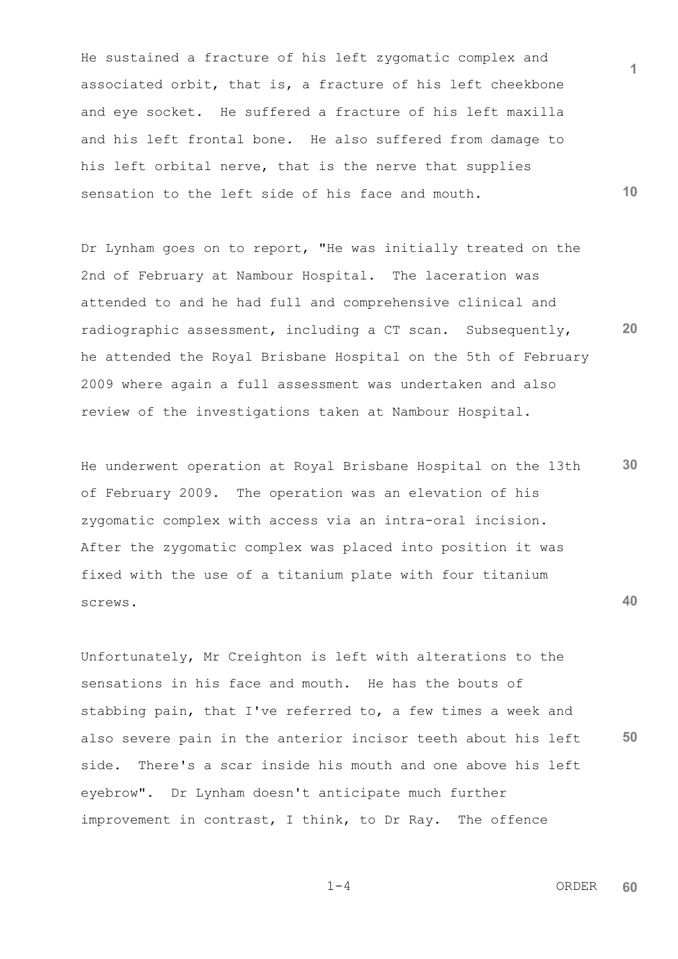He sustained a fracture of his left zygomatic complex and associated orbit, that is, a fracture of his left cheekbone and eye socket. He suffered a fracture of his left maxilla and his left frontal bone. He also suffered from damage to his left orbital nerve, that is the nerve that supplies sensation to the left side of his face and mouth.

**20** Dr Lynham goes on to report, "He was initially treated on the 2nd of February at Nambour Hospital. The laceration was attended to and he had full and comprehensive clinical and radiographic assessment, including a CT scan. Subsequently, he attended the Royal Brisbane Hospital on the 5th of February 2009 where again a full assessment was undertaken and also review of the investigations taken at Nambour Hospital.

**30 40** He underwent operation at Royal Brisbane Hospital on the 13th of February 2009. The operation was an elevation of his zygomatic complex with access via an intra-oral incision. After the zygomatic complex was placed into position it was fixed with the use of a titanium plate with four titanium screws.

**50** Unfortunately, Mr Creighton is left with alterations to the sensations in his face and mouth. He has the bouts of stabbing pain, that I've referred to, a few times a week and also severe pain in the anterior incisor teeth about his left side. There's a scar inside his mouth and one above his left eyebrow". Dr Lynham doesn't anticipate much further improvement in contrast, I think, to Dr Ray. The offence

 $1-4$  ORDER **60**

**1**

$$
1-4
$$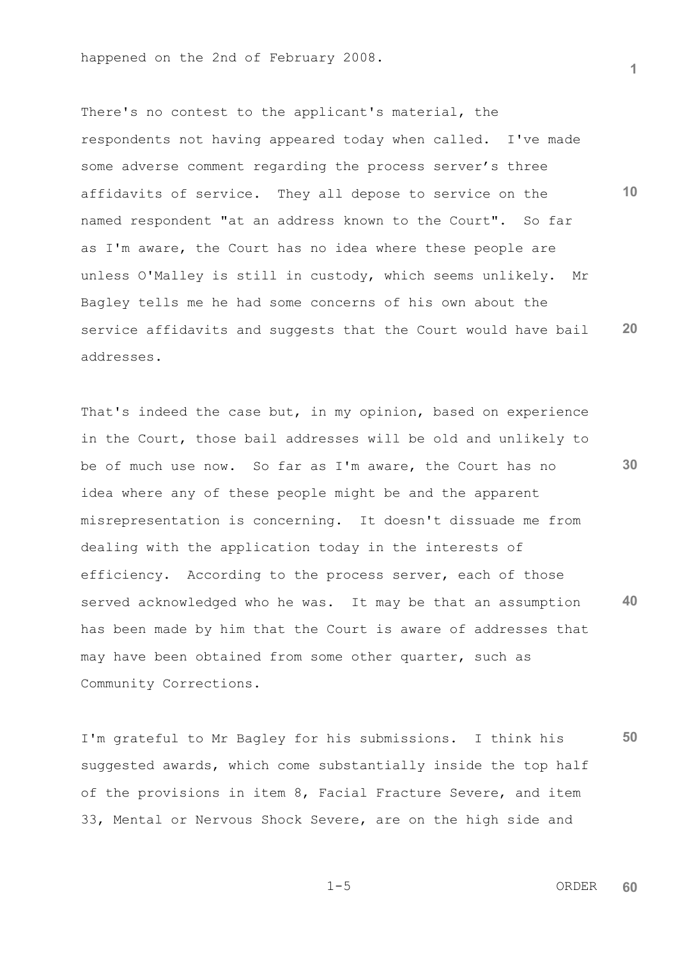**10 20** There's no contest to the applicant's material, the respondents not having appeared today when called. I've made some adverse comment regarding the process server's three affidavits of service. They all depose to service on the named respondent "at an address known to the Court". So far as I'm aware, the Court has no idea where these people are unless O'Malley is still in custody, which seems unlikely. Mr Bagley tells me he had some concerns of his own about the service affidavits and suggests that the Court would have bail addresses.

**30 40** That's indeed the case but, in my opinion, based on experience in the Court, those bail addresses will be old and unlikely to be of much use now. So far as I'm aware, the Court has no idea where any of these people might be and the apparent misrepresentation is concerning. It doesn't dissuade me from dealing with the application today in the interests of efficiency. According to the process server, each of those served acknowledged who he was. It may be that an assumption has been made by him that the Court is aware of addresses that may have been obtained from some other quarter, such as Community Corrections.

**50** I'm grateful to Mr Bagley for his submissions. I think his suggested awards, which come substantially inside the top half of the provisions in item 8, Facial Fracture Severe, and item 33, Mental or Nervous Shock Severe, are on the high side and

 1-5 ORDER **60**

$$
1-5
$$